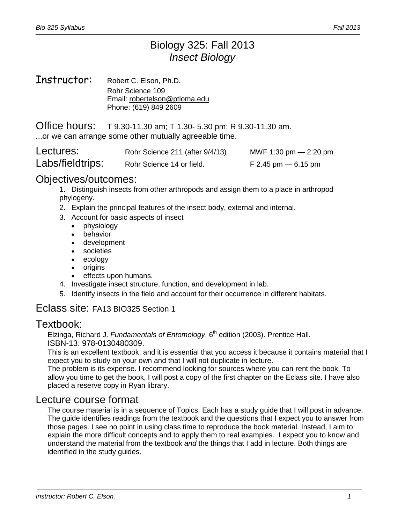# Biology 325: Fall 2013 *Insect Biology*

#### Instructor: Robert C. Elson, Ph.D. Rohr Science 109 Email: robertelson@ptloma.edu Phone: (619) 849 2609

Office hours: T 9.30-11.30 am; T 1.30- 5.30 pm; R 9.30-11.30 am. ...or we can arrange some other mutually agreeable time.

| Lectures:        | Rohr Science 211 (after 9/4/13) | MWF 1:30 pm $-$ 2:20 pm |
|------------------|---------------------------------|-------------------------|
| Labs/fieldtrips: | Rohr Science 14 or field.       | $F$ 2.45 pm $-$ 6.15 pm |

#### Objectives/outcomes:

1. Distinguish insects from other arthropods and assign them to a place in arthropod phylogeny.

- 2. Explain the principal features of the insect body, external and internal.
- 3. Account for basic aspects of insect
	- physiology
	- behavior
	- development
	- societies
	- ecology
	- **origins**
	- effects upon humans.
- 4. Investigate insect structure, function, and development in lab.
- 5. Identify insects in the field and account for their occurrence in different habitats.

### Eclass site: FA13 BIO325 Section 1

#### Textbook:

Elzinga, Richard J. *Fundamentals of Entomology*, 6<sup>th</sup> edition (2003). Prentice Hall. ISBN-13: 978-0130480309.

This is an excellent textbook, and it is essential that you access it because it contains material that I expect you to study on your own and that I will not duplicate in lecture.

The problem is its expense. I recommend looking for sources where you can rent the book. To allow you time to get the book, I will post a copy of the first chapter on the Eclass site. I have also placed a reserve copy in Ryan library.

#### Lecture course format

The course material is in a sequence of Topics. Each has a study guide that I will post in advance. The guide identifies readings from the textbook and the questions that I expect you to answer from those pages. I see no point in using class time to reproduce the book material. Instead, I aim to explain the more difficult concepts and to apply them to real examples. I expect you to know and understand the material from the textbook *and* the things that I add in lecture. Both things are identified in the study guides.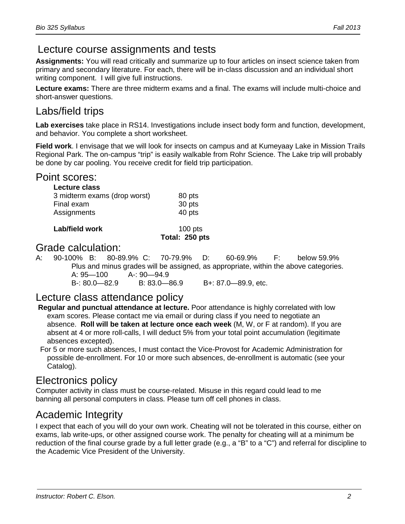# Lecture course assignments and tests

**Assignments:** You will read critically and summarize up to four articles on insect science taken from primary and secondary literature. For each, there will be in-class discussion and an individual short writing component. I will give full instructions.

**Lecture exams:** There are three midterm exams and a final. The exams will include multi-choice and short-answer questions.

# Labs/field trips

**Lab exercises** take place in RS14. Investigations include insect body form and function, development, and behavior. You complete a short worksheet.

**Field work**. I envisage that we will look for insects on campus and at Kumeyaay Lake in Mission Trails Regional Park. The on-campus "trip" is easily walkable from Rohr Science. The Lake trip will probably be done by car pooling. You receive credit for field trip participation.

#### Point scores:

| 80 pts |
|--------|
| 30 pts |
| 40 pts |
|        |

| Lab/field work | $100$ pts      |
|----------------|----------------|
|                | Total: 250 pts |

#### Grade calculation:

A: 90-100% B: 80-89.9% C: 70-79.9% D: 60-69.9% F: below 59.9% Plus and minus grades will be assigned, as appropriate, within the above categories. A: 95—100 A-: 90—94.9 B-: 80.0—82.9 B: 83.0—86.9 B+: 87.0—89.9, etc.

## Lecture class attendance policy

- **Regular and punctual attendance at lecture.** Poor attendance is highly correlated with low exam scores. Please contact me via email or during class if you need to negotiate an absence. **Roll will be taken at lecture once each week** (M, W, or F at random). If you are absent at 4 or more roll-calls, I will deduct 5% from your total point accumulation (legitimate absences excepted).
- For 5 or more such absences, I must contact the Vice-Provost for Academic Administration for possible de-enrollment. For 10 or more such absences, de-enrollment is automatic (see your Catalog).

## Electronics policy

Computer activity in class must be course-related. Misuse in this regard could lead to me banning all personal computers in class. Please turn off cell phones in class.

## Academic Integrity

I expect that each of you will do your own work. Cheating will not be tolerated in this course, either on exams, lab write-ups, or other assigned course work. The penalty for cheating will at a minimum be reduction of the final course grade by a full letter grade (e.g., a "B" to a "C") and referral for discipline to the Academic Vice President of the University.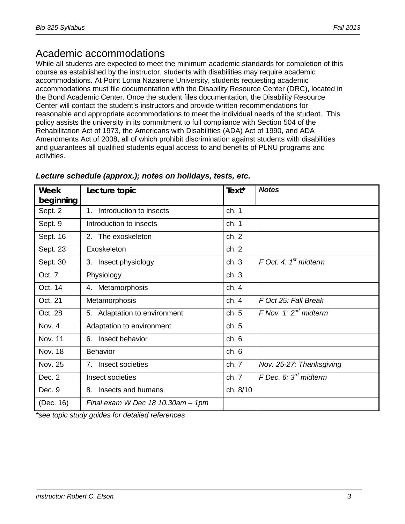# Academic accommodations

While all students are expected to meet the minimum academic standards for completion of this course as established by the instructor, students with disabilities may require academic accommodations. At Point Loma Nazarene University, students requesting academic accommodations must file documentation with the Disability Resource Center (DRC), located in the Bond Academic Center. Once the student files documentation, the Disability Resource Center will contact the student's instructors and provide written recommendations for reasonable and appropriate accommodations to meet the individual needs of the student. This policy assists the university in its commitment to full compliance with Section 504 of the Rehabilitation Act of 1973, the Americans with Disabilities (ADA) Act of 1990, and ADA Amendments Act of 2008, all of which prohibit discrimination against students with disabilities and guarantees all qualified students equal access to and benefits of PLNU programs and activities.

| Week<br>beginning | Lecture topic                       | Text*    | <b>Notes</b>               |
|-------------------|-------------------------------------|----------|----------------------------|
| Sept. 2           | Introduction to insects<br>$1_{-}$  | ch. 1    |                            |
| Sept. 9           | Introduction to insects             | ch. 1    |                            |
| Sept. 16          | 2. The exoskeleton                  | ch. 2    |                            |
| Sept. 23          | Exoskeleton                         | ch. 2    |                            |
| Sept. 30          | 3. Insect physiology                | ch.3     | $F$ Oct. 4: $1st$ midterm  |
| Oct. 7            | Physiology                          | ch.3     |                            |
| Oct. 14           | 4. Metamorphosis                    | ch.4     |                            |
| Oct. 21           | Metamorphosis                       | ch.4     | F Oct 25: Fall Break       |
| Oct. 28           | 5. Adaptation to environment        | ch. 5    | F Nov. 1: $2^{nd}$ midterm |
| Nov. 4            | Adaptation to environment           | ch.5     |                            |
| <b>Nov. 11</b>    | 6. Insect behavior                  | ch.6     |                            |
| <b>Nov. 18</b>    | <b>Behavior</b>                     | ch.6     |                            |
| Nov. 25           | 7. Insect societies                 | ch. 7    | Nov. 25-27: Thanksgiving   |
| Dec. 2            | Insect societies                    | ch. 7    | F Dec. 6: $3rd$ midterm    |
| Dec. 9            | Insects and humans<br>8.            | ch. 8/10 |                            |
| (Dec. 16)         | Final exam W Dec $18$ 10.30am - 1pm |          |                            |

#### *Lecture schedule (approx.); notes on holidays, tests, etc.*

*\*see topic study guides for detailed references*